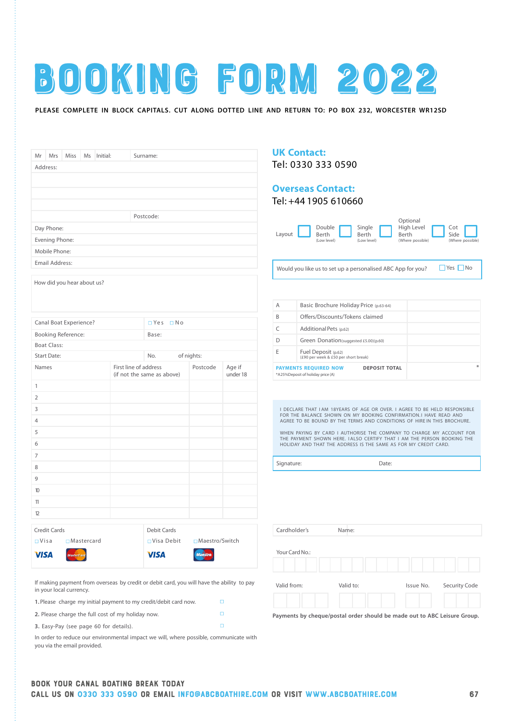

## **PLEASE COMPLETE IN BLOCK CAPITALS. CUT ALONG DOTTED LINE AND RETURN TO: PO BOX 232, WORCESTER WR12SD**

|                                                                    | Mrs                   | Miss                       | Ms | Initial: |                       | Surname:                   |            |                  |          |  |
|--------------------------------------------------------------------|-----------------------|----------------------------|----|----------|-----------------------|----------------------------|------------|------------------|----------|--|
|                                                                    | Mr<br>Address:        |                            |    |          |                       |                            |            |                  |          |  |
|                                                                    |                       |                            |    |          |                       |                            |            |                  |          |  |
|                                                                    |                       |                            |    |          |                       |                            |            |                  |          |  |
|                                                                    |                       |                            |    |          |                       |                            |            |                  |          |  |
|                                                                    |                       |                            |    |          |                       | Postcode:                  |            |                  |          |  |
|                                                                    | Day Phone:            |                            |    |          |                       |                            |            |                  |          |  |
|                                                                    | Evening Phone:        |                            |    |          |                       |                            |            |                  |          |  |
|                                                                    | Mobile Phone:         |                            |    |          |                       |                            |            |                  |          |  |
|                                                                    | <b>Email Address:</b> |                            |    |          |                       |                            |            |                  |          |  |
|                                                                    |                       |                            |    |          |                       |                            |            |                  |          |  |
|                                                                    |                       | How did you hear about us? |    |          |                       |                            |            |                  |          |  |
|                                                                    |                       | Canal Boat Experience?     |    |          |                       | □ Yes □ No                 |            |                  |          |  |
|                                                                    |                       | <b>Booking Reference:</b>  |    |          |                       | Base:                      |            |                  |          |  |
|                                                                    | <b>Boat Class:</b>    |                            |    |          |                       |                            |            |                  |          |  |
|                                                                    | <b>Start Date:</b>    |                            |    |          |                       | No.                        | of nights: |                  |          |  |
|                                                                    | Names                 |                            |    |          | First line of address |                            |            | Postcode         | Age if   |  |
|                                                                    |                       |                            |    |          |                       | (if not the same as above) |            |                  | under 18 |  |
|                                                                    |                       |                            |    |          |                       |                            |            |                  |          |  |
|                                                                    |                       |                            |    |          |                       |                            |            |                  |          |  |
|                                                                    |                       |                            |    |          |                       |                            |            |                  |          |  |
|                                                                    |                       |                            |    |          |                       |                            |            |                  |          |  |
|                                                                    |                       |                            |    |          |                       |                            |            |                  |          |  |
|                                                                    |                       |                            |    |          |                       |                            |            |                  |          |  |
|                                                                    |                       |                            |    |          |                       |                            |            |                  |          |  |
|                                                                    |                       |                            |    |          |                       |                            |            |                  |          |  |
|                                                                    |                       |                            |    |          |                       |                            |            |                  |          |  |
| $\mathbf{1}$<br>$\overline{2}$<br>3<br>4<br>5<br>7<br>8<br>9<br>10 |                       |                            |    |          |                       |                            |            |                  |          |  |
| 11                                                                 |                       |                            |    |          |                       |                            |            |                  |          |  |
| 12                                                                 |                       |                            |    |          |                       |                            |            |                  |          |  |
|                                                                    | Credit Cards          |                            |    |          |                       | <b>Debit Cards</b>         |            |                  |          |  |
| 6<br>$\Box$ Visa                                                   |                       | □ Mastercard               |    |          |                       | □ Visa Debit               |            | □ Maestro/Switch |          |  |

| <b>UK Contact:</b> |  |
|--------------------|--|
| Tel: 0330 333 0590 |  |

# **Overseas Contact:**

Tel: +44 1905 610660

|        |                 |                 | Optional            |                  |  |
|--------|-----------------|-----------------|---------------------|------------------|--|
| Layout | Double<br>Berth | Single<br>Berth | High Level<br>Berth | Cot<br>Side      |  |
|        | (Low level)     | (Low level)     | (Where possible)    | (Where possible) |  |

Would you like us to set up a personalised ABC App for you?  $\Box$  Yes  $\Box$  No

| $\sim$ | $N_{\alpha}$ |
|--------|--------------|

| А | Basic Brochure Holiday Price (p.63-64)                                                         |
|---|------------------------------------------------------------------------------------------------|
| B | Offers/Discounts/Tokens claimed                                                                |
|   | Additional Pets (p.62)                                                                         |
|   | Green Donation(suggested £5.00)(p.60)                                                          |
|   | Fuel Deposit (p.62)<br>(£90 per week & £50 per short break)                                    |
|   | ⋇<br><b>PAYMENTS REQUIRED NOW</b><br><b>DEPOSIT TOTAL</b><br>*A25%Deposit of holiday price (A) |

I DECLARE THAT I AM 18YEARS OF AGE OR OVER. I AGREE TO BE HELD RESPONSIBLE FOR THE BALANCE SHOWN ON MY BOOKING CONFIRMATION. I HAVE READ AND AGREE TO BE BOUND BY THE TERMS AND CONDITIONS OF HIRE IN THIS BROCHURE.

WHEN PAYING BY CARD I AUTHORISE THE COMPANY TO CHARGE MY ACCOUNT FOR THE PAYMENT SHOWN HERE. I ALSO CERTIFY THAT I AM THE PERSON BOOKING THE HOLIDAY AND THAT THE ADDRESS IS THE SAME AS FOR MY CREDIT CARD.

Signature: Date:

| Cardholder's   | Name:     |           |               |
|----------------|-----------|-----------|---------------|
| Your Card No.: |           |           |               |
| Valid from:    | Valid to: | Issue No. | Security Code |

**Payments by cheque/postal order should be made out to ABC Leisure Group.**

If making payment from overseas by credit or debit card, you will have the ability to pay in your local currency.

**1.**Please charge my initial payment to my credit/debit card now.

**2.** Please charge the full cost of my holiday now.

**3.** Easy-Pay (see page 60 for details).

In order to reduce our environmental impact we will, where possible, communicate with you via the email provided.

 $\Box$  $\Box$  $\Box$